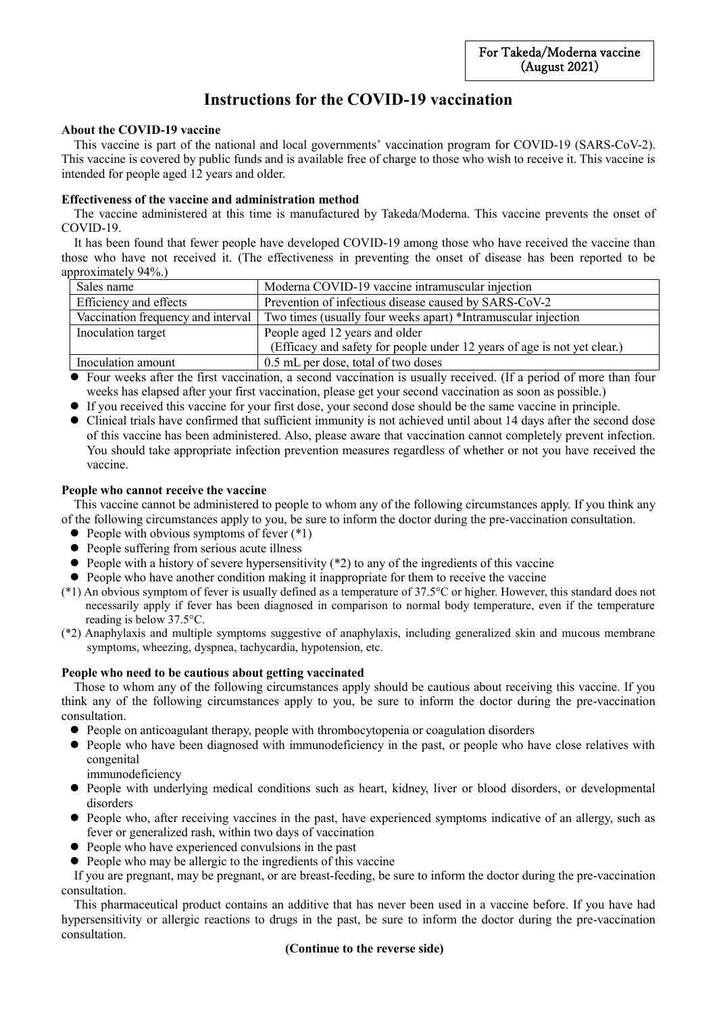# **Instructions for the COVID-19 vaccination**

# **About the COVID-19 vaccine**

This vaccine is part of the national and local governments' vaccination program for COVID-19 (SARS-CoV-2). This vaccine is covered by public funds and is available free of charge to those who wish to receive it. This vaccine is intended for people aged 12 years and older.

## **Effectiveness of the vaccine and administration method**

The vaccine administered at this time is manufactured by Takeda/Moderna. This vaccine prevents the onset of COVID-19.

It has been found that fewer people have developed COVID-19 among those who have received the vaccine than those who have not received it. (The effectiveness in preventing the onset of disease has been reported to be approximately 94%.)

| Sales name                         |  | Moderna COVID-19 vaccine intramuscular injection                         |
|------------------------------------|--|--------------------------------------------------------------------------|
| Efficiency and effects             |  | Prevention of infectious disease caused by SARS-CoV-2                    |
| Vaccination frequency and interval |  | Two times (usually four weeks apart) *Intramuscular injection            |
| Inoculation target                 |  | People aged 12 years and older                                           |
|                                    |  | (Efficacy and safety for people under 12 years of age is not yet clear.) |
| Inoculation amount                 |  | 0.5 mL per dose, total of two doses                                      |

 Four weeks after the first vaccination, a second vaccination is usually received. (If a period of more than four weeks has elapsed after your first vaccination, please get your second vaccination as soon as possible.)

If you received this vaccine for your first dose, your second dose should be the same vaccine in principle.

 Clinical trials have confirmed that sufficient immunity is not achieved until about 14 days after the second dose of this vaccine has been administered. Also, please aware that vaccination cannot completely prevent infection. You should take appropriate infection prevention measures regardless of whether or not you have received the vaccine.

## **People who cannot receive the vaccine**

This vaccine cannot be administered to people to whom any of the following circumstances apply. If you think any of the following circumstances apply to you, be sure to inform the doctor during the pre-vaccination consultation.

- $\bullet$  People with obvious symptoms of fever  $(*1)$
- People suffering from serious acute illness
- $\bullet$  People with a history of severe hypersensitivity (\*2) to any of the ingredients of this vaccine
- People who have another condition making it inappropriate for them to receive the vaccine
- (\*1) An obvious symptom of fever is usually defined as a temperature of 37.5°C or higher. However, this standard does not necessarily apply if fever has been diagnosed in comparison to normal body temperature, even if the temperature reading is below 37.5°C.
- (\*2) Anaphylaxis and multiple symptoms suggestive of anaphylaxis, including generalized skin and mucous membrane symptoms, wheezing, dyspnea, tachycardia, hypotension, etc.

## **People who need to be cautious about getting vaccinated**

Those to whom any of the following circumstances apply should be cautious about receiving this vaccine. If you think any of the following circumstances apply to you, be sure to inform the doctor during the pre-vaccination consultation.

- People on anticoagulant therapy, people with thrombocytopenia or coagulation disorders
- People who have been diagnosed with immunodeficiency in the past, or people who have close relatives with congenital
	- immunodeficiency
- People with underlying medical conditions such as heart, kidney, liver or blood disorders, or developmental disorders
- People who, after receiving vaccines in the past, have experienced symptoms indicative of an allergy, such as fever or generalized rash, within two days of vaccination
- People who have experienced convulsions in the past
- People who may be allergic to the ingredients of this vaccine

If you are pregnant, may be pregnant, or are breast-feeding, be sure to inform the doctor during the pre-vaccination consultation.

This pharmaceutical product contains an additive that has never been used in a vaccine before. If you have had hypersensitivity or allergic reactions to drugs in the past, be sure to inform the doctor during the pre-vaccination consultation.

## **(Continue to the reverse side)**